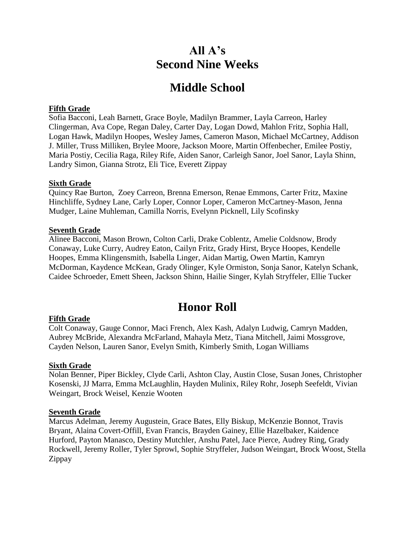# **All A's Second Nine Weeks**

# **Middle School**

## **Fifth Grade**

Sofia Bacconi, Leah Barnett, Grace Boyle, Madilyn Brammer, Layla Carreon, Harley Clingerman, Ava Cope, Regan Daley, Carter Day, Logan Dowd, Mahlon Fritz, Sophia Hall, Logan Hawk, Madilyn Hoopes, Wesley James, Cameron Mason, Michael McCartney, Addison J. Miller, Truss Milliken, Brylee Moore, Jackson Moore, Martin Offenbecher, Emilee Postiy, Maria Postiy, Cecilia Raga, Riley Rife, Aiden Sanor, Carleigh Sanor, Joel Sanor, Layla Shinn, Landry Simon, Gianna Strotz, Eli Tice, Everett Zippay

### **Sixth Grade**

Quincy Rae Burton, Zoey Carreon, Brenna Emerson, Renae Emmons, Carter Fritz, Maxine Hinchliffe, Sydney Lane, Carly Loper, Connor Loper, Cameron McCartney-Mason, Jenna Mudger, Laine Muhleman, Camilla Norris, Evelynn Picknell, Lily Scofinsky

#### **Seventh Grade**

Alinee Bacconi, Mason Brown, Colton Carli, Drake Coblentz, Amelie Coldsnow, Brody Conaway, Luke Curry, Audrey Eaton, Cailyn Fritz, Grady Hirst, Bryce Hoopes, Kendelle Hoopes, Emma Klingensmith, Isabella Linger, Aidan Martig, Owen Martin, Kamryn McDorman, Kaydence McKean, Grady Olinger, Kyle Ormiston, Sonja Sanor, Katelyn Schank, Caidee Schroeder, Emett Sheen, Jackson Shinn, Hailie Singer, Kylah Stryffeler, Ellie Tucker

# **Honor Roll**

# **Fifth Grade**

Colt Conaway, Gauge Connor, Maci French, Alex Kash, Adalyn Ludwig, Camryn Madden, Aubrey McBride, Alexandra McFarland, Mahayla Metz, Tiana Mitchell, Jaimi Mossgrove, Cayden Nelson, Lauren Sanor, Evelyn Smith, Kimberly Smith, Logan Williams

#### **Sixth Grade**

Nolan Benner, Piper Bickley, Clyde Carli, Ashton Clay, Austin Close, Susan Jones, Christopher Kosenski, JJ Marra, Emma McLaughlin, Hayden Mulinix, Riley Rohr, Joseph Seefeldt, Vivian Weingart, Brock Weisel, Kenzie Wooten

#### **Seventh Grade**

Marcus Adelman, Jeremy Augustein, Grace Bates, Elly Biskup, McKenzie Bonnot, Travis Bryant, Alaina Covert-Offill, Evan Francis, Brayden Gainey, Ellie Hazelbaker, Kaidence Hurford, Payton Manasco, Destiny Mutchler, Anshu Patel, Jace Pierce, Audrey Ring, Grady Rockwell, Jeremy Roller, Tyler Sprowl, Sophie Stryffeler, Judson Weingart, Brock Woost, Stella Zippay